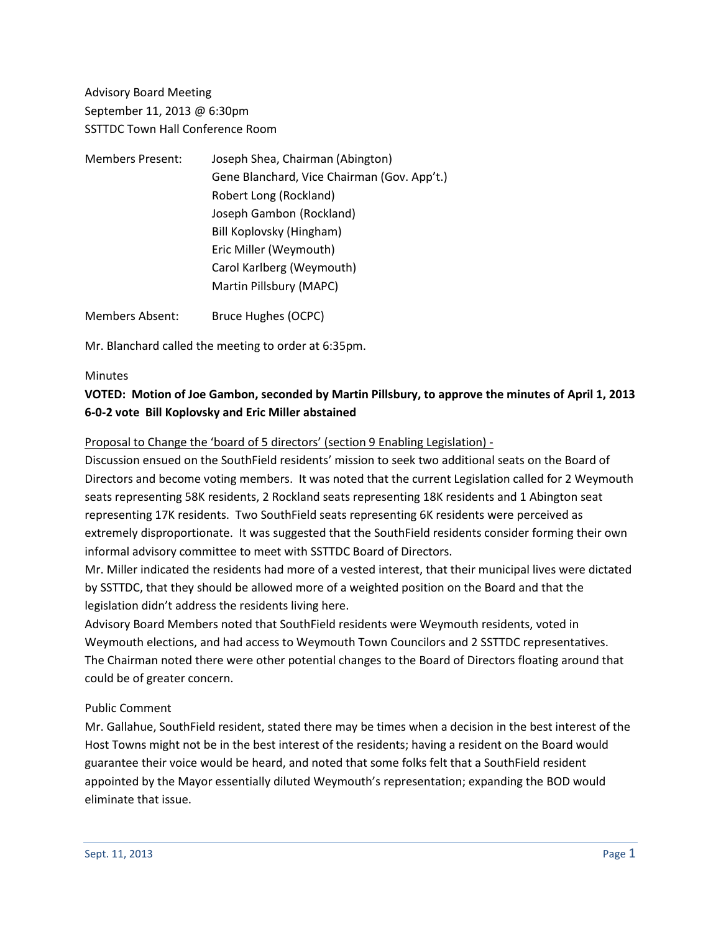Advisory Board Meeting September 11, 2013 @ 6:30pm SSTTDC Town Hall Conference Room

| <b>Members Present:</b> | Joseph Shea, Chairman (Abington)            |
|-------------------------|---------------------------------------------|
|                         | Gene Blanchard, Vice Chairman (Gov. App't.) |
|                         | Robert Long (Rockland)                      |
|                         | Joseph Gambon (Rockland)                    |
|                         | Bill Koplovsky (Hingham)                    |
|                         | Eric Miller (Weymouth)                      |
|                         | Carol Karlberg (Weymouth)                   |
|                         | Martin Pillsbury (MAPC)                     |
|                         |                                             |

Members Absent: Bruce Hughes (OCPC)

Mr. Blanchard called the meeting to order at 6:35pm.

#### **Minutes**

## **VOTED: Motion of Joe Gambon, seconded by Martin Pillsbury, to approve the minutes of April 1, 2013 6-0-2 vote Bill Koplovsky and Eric Miller abstained**

Proposal to Change the 'board of 5 directors' (section 9 Enabling Legislation) -

Discussion ensued on the SouthField residents' mission to seek two additional seats on the Board of Directors and become voting members. It was noted that the current Legislation called for 2 Weymouth seats representing 58K residents, 2 Rockland seats representing 18K residents and 1 Abington seat representing 17K residents. Two SouthField seats representing 6K residents were perceived as extremely disproportionate. It was suggested that the SouthField residents consider forming their own informal advisory committee to meet with SSTTDC Board of Directors.

Mr. Miller indicated the residents had more of a vested interest, that their municipal lives were dictated by SSTTDC, that they should be allowed more of a weighted position on the Board and that the legislation didn't address the residents living here.

Advisory Board Members noted that SouthField residents were Weymouth residents, voted in Weymouth elections, and had access to Weymouth Town Councilors and 2 SSTTDC representatives. The Chairman noted there were other potential changes to the Board of Directors floating around that could be of greater concern.

### Public Comment

Mr. Gallahue, SouthField resident, stated there may be times when a decision in the best interest of the Host Towns might not be in the best interest of the residents; having a resident on the Board would guarantee their voice would be heard, and noted that some folks felt that a SouthField resident appointed by the Mayor essentially diluted Weymouth's representation; expanding the BOD would eliminate that issue.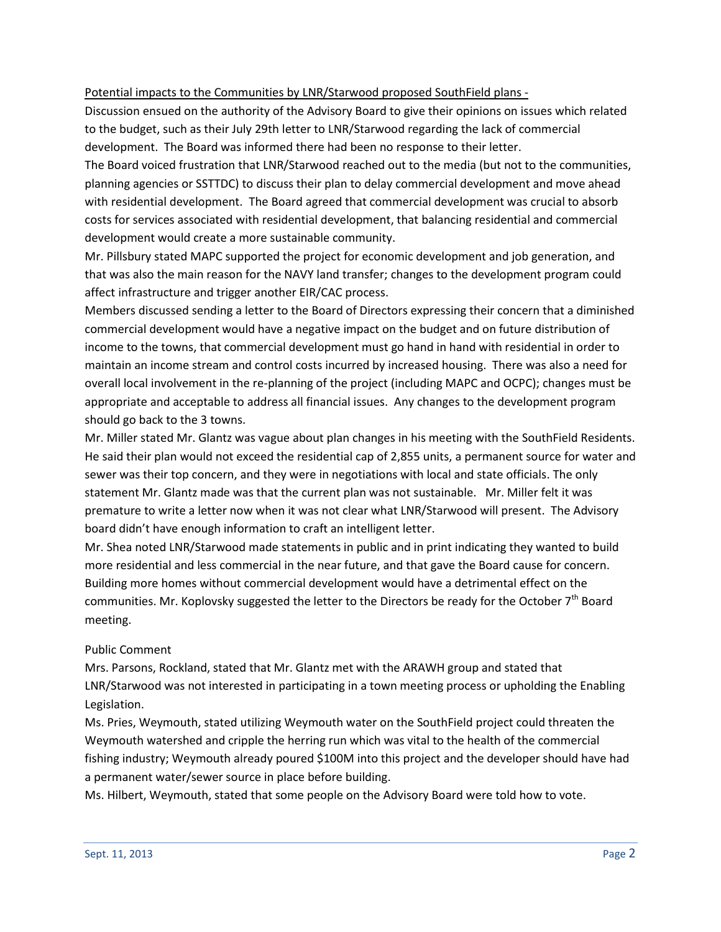### Potential impacts to the Communities by LNR/Starwood proposed SouthField plans -

Discussion ensued on the authority of the Advisory Board to give their opinions on issues which related to the budget, such as their July 29th letter to LNR/Starwood regarding the lack of commercial development. The Board was informed there had been no response to their letter.

The Board voiced frustration that LNR/Starwood reached out to the media (but not to the communities, planning agencies or SSTTDC) to discuss their plan to delay commercial development and move ahead with residential development. The Board agreed that commercial development was crucial to absorb costs for services associated with residential development, that balancing residential and commercial development would create a more sustainable community.

Mr. Pillsbury stated MAPC supported the project for economic development and job generation, and that was also the main reason for the NAVY land transfer; changes to the development program could affect infrastructure and trigger another EIR/CAC process.

Members discussed sending a letter to the Board of Directors expressing their concern that a diminished commercial development would have a negative impact on the budget and on future distribution of income to the towns, that commercial development must go hand in hand with residential in order to maintain an income stream and control costs incurred by increased housing. There was also a need for overall local involvement in the re-planning of the project (including MAPC and OCPC); changes must be appropriate and acceptable to address all financial issues. Any changes to the development program should go back to the 3 towns.

Mr. Miller stated Mr. Glantz was vague about plan changes in his meeting with the SouthField Residents. He said their plan would not exceed the residential cap of 2,855 units, a permanent source for water and sewer was their top concern, and they were in negotiations with local and state officials. The only statement Mr. Glantz made was that the current plan was not sustainable. Mr. Miller felt it was premature to write a letter now when it was not clear what LNR/Starwood will present. The Advisory board didn't have enough information to craft an intelligent letter.

Mr. Shea noted LNR/Starwood made statements in public and in print indicating they wanted to build more residential and less commercial in the near future, and that gave the Board cause for concern. Building more homes without commercial development would have a detrimental effect on the communities. Mr. Koplovsky suggested the letter to the Directors be ready for the October  $7<sup>th</sup>$  Board meeting.

### Public Comment

Mrs. Parsons, Rockland, stated that Mr. Glantz met with the ARAWH group and stated that LNR/Starwood was not interested in participating in a town meeting process or upholding the Enabling Legislation.

Ms. Pries, Weymouth, stated utilizing Weymouth water on the SouthField project could threaten the Weymouth watershed and cripple the herring run which was vital to the health of the commercial fishing industry; Weymouth already poured \$100M into this project and the developer should have had a permanent water/sewer source in place before building.

Ms. Hilbert, Weymouth, stated that some people on the Advisory Board were told how to vote.